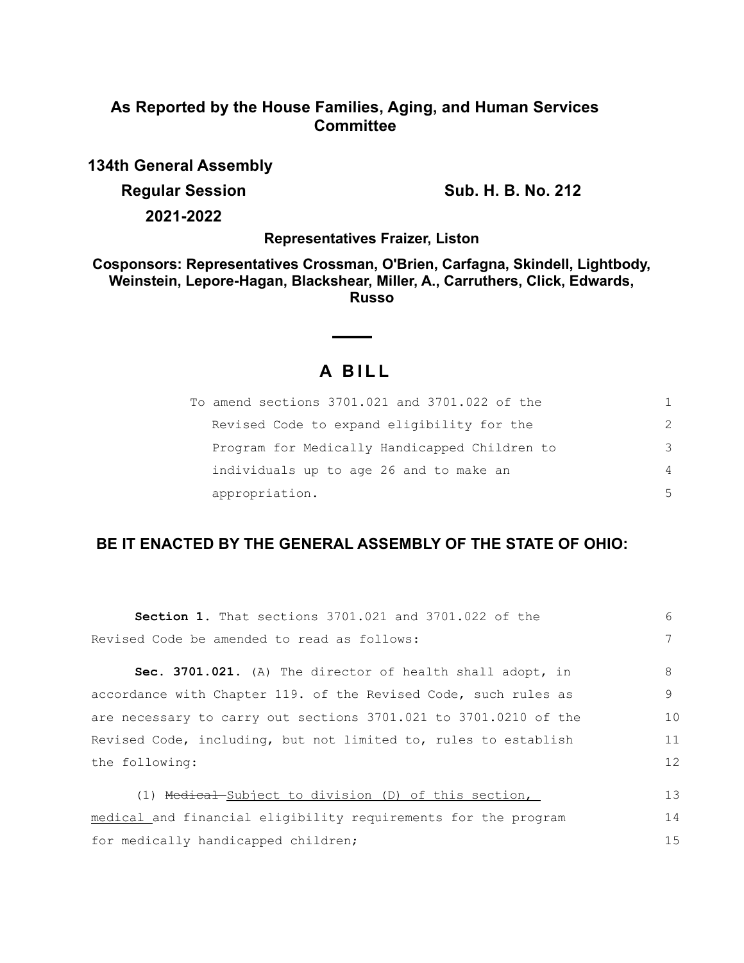## **As Reported by the House Families, Aging, and Human Services Committee**

**134th General Assembly**

**Regular Session Sub. H. B. No. 212** 

**2021-2022**

**Representatives Fraizer, Liston**

**Cosponsors: Representatives Crossman, O'Brien, Carfagna, Skindell, Lightbody, Weinstein, Lepore-Hagan, Blackshear, Miller, A., Carruthers, Click, Edwards, Russo**

# **A B I L L**

| To amend sections 3701.021 and 3701.022 of the | 1.            |
|------------------------------------------------|---------------|
| Revised Code to expand eligibility for the     | $\mathcal{P}$ |
| Program for Medically Handicapped Children to  | 3             |
| individuals up to age 26 and to make an        | 4             |
| appropriation.                                 | 5             |

## **BE IT ENACTED BY THE GENERAL ASSEMBLY OF THE STATE OF OHIO:**

| <b>Section 1.</b> That sections 3701.021 and 3701.022 of the     | 6  |
|------------------------------------------------------------------|----|
| Revised Code be amended to read as follows:                      |    |
| Sec. 3701.021. (A) The director of health shall adopt, in        | 8  |
| accordance with Chapter 119. of the Revised Code, such rules as  | 9  |
| are necessary to carry out sections 3701.021 to 3701.0210 of the | 10 |
| Revised Code, including, but not limited to, rules to establish  | 11 |
| the following:                                                   | 12 |
|                                                                  |    |
| (1) Medical-Subject to division (D) of this section,             | 13 |
| medical and financial eligibility requirements for the program   | 14 |
| for medically handicapped children;                              | 15 |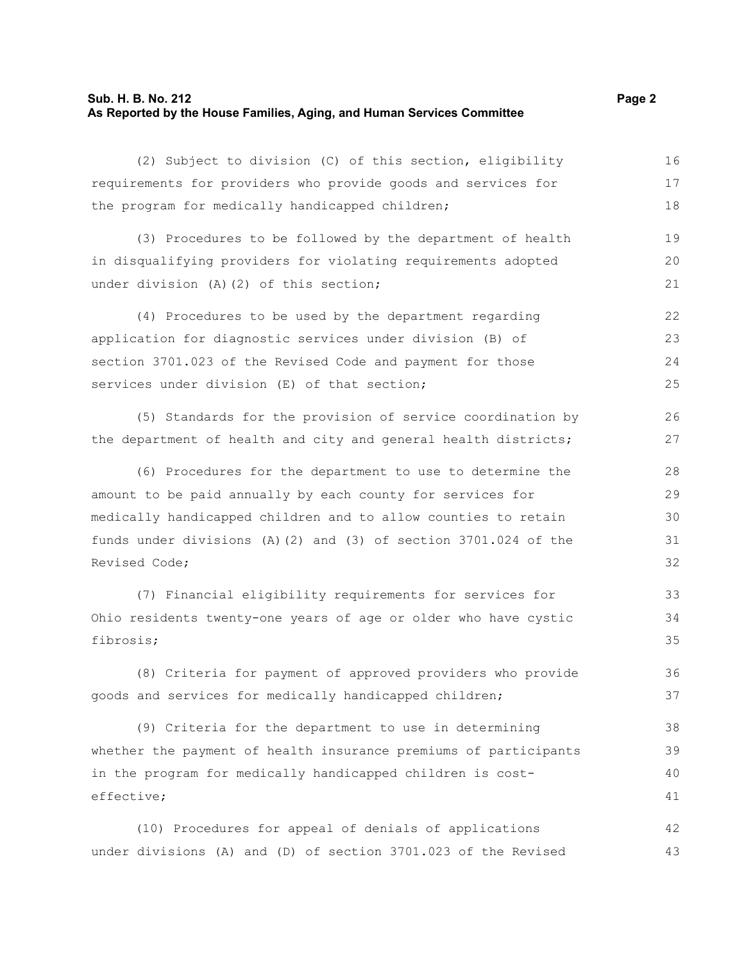#### **Sub. H. B. No. 212 Page 2 As Reported by the House Families, Aging, and Human Services Committee**

(2) Subject to division (C) of this section, eligibility requirements for providers who provide goods and services for the program for medically handicapped children; 16 17 18

(3) Procedures to be followed by the department of health in disqualifying providers for violating requirements adopted under division (A)(2) of this section: 19 20 21

(4) Procedures to be used by the department regarding application for diagnostic services under division (B) of section 3701.023 of the Revised Code and payment for those services under division (E) of that section; 22 23 24 25

(5) Standards for the provision of service coordination by the department of health and city and general health districts;

(6) Procedures for the department to use to determine the amount to be paid annually by each county for services for medically handicapped children and to allow counties to retain funds under divisions (A)(2) and (3) of section 3701.024 of the Revised Code;

(7) Financial eligibility requirements for services for Ohio residents twenty-one years of age or older who have cystic fibrosis;

(8) Criteria for payment of approved providers who provide goods and services for medically handicapped children;

(9) Criteria for the department to use in determining whether the payment of health insurance premiums of participants in the program for medically handicapped children is costeffective; 38 39 40 41

(10) Procedures for appeal of denials of applications under divisions (A) and (D) of section 3701.023 of the Revised 42 43

26 27

33 34 35

36 37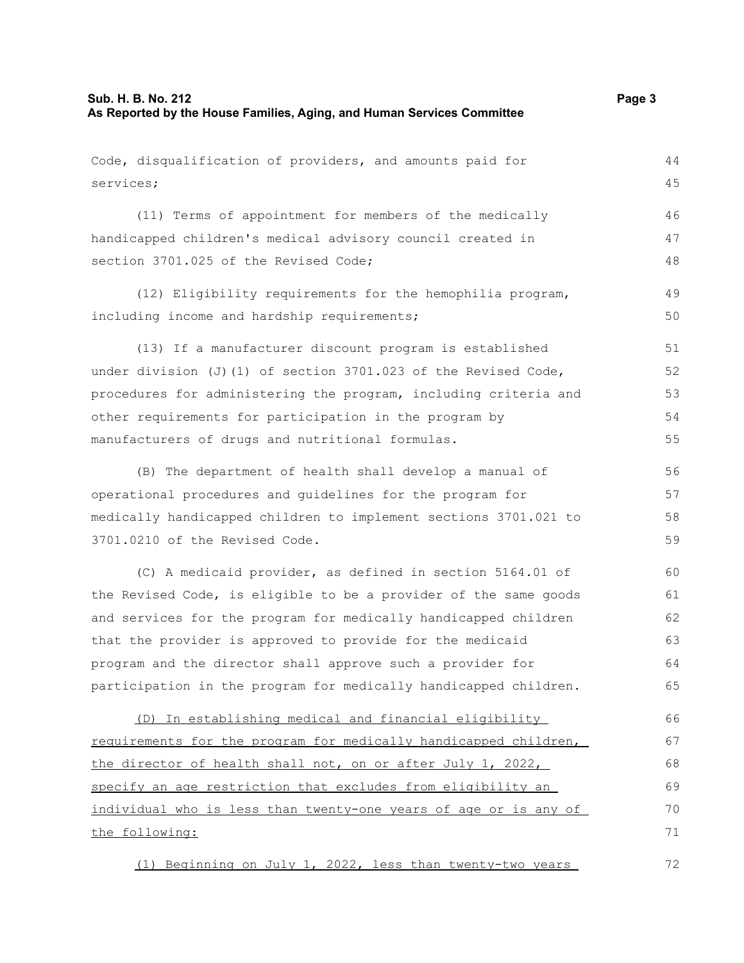Code, disqualification of providers, and amounts paid for

```
services;
      (11) Terms of appointment for members of the medically
handicapped children's medical advisory council created in
section 3701.025 of the Revised Code;
      (12) Eligibility requirements for the hemophilia program,
including income and hardship requirements;
      (13) If a manufacturer discount program is established
under division (J)(1) of section 3701.023 of the Revised Code,
procedures for administering the program, including criteria and
other requirements for participation in the program by
manufacturers of drugs and nutritional formulas.
      (B) The department of health shall develop a manual of
operational procedures and guidelines for the program for
medically handicapped children to implement sections 3701.021 to
3701.0210 of the Revised Code.
      (C) A medicaid provider, as defined in section 5164.01 of
the Revised Code, is eligible to be a provider of the same goods
and services for the program for medically handicapped children
that the provider is approved to provide for the medicaid
program and the director shall approve such a provider for
participation in the program for medically handicapped children.
                                                                            45
                                                                            46
                                                                            47
                                                                            48
                                                                            49
                                                                            50
                                                                            51
                                                                            52
                                                                            53
                                                                            54
                                                                            55
                                                                            56
                                                                            57
                                                                            58
                                                                            59
                                                                            60
                                                                            61
                                                                            62
                                                                            63
                                                                            64
                                                                            65
```
(D) In establishing medical and financial eligibility requirements for the program for medically handicapped children, the director of health shall not, on or after July 1, 2022, specify an age restriction that excludes from eligibility an individual who is less than twenty-one years of age or is any of the following: 66 67 68 69 70 71

(1) Beginning on July 1, 2022, less than twenty-two years 72

44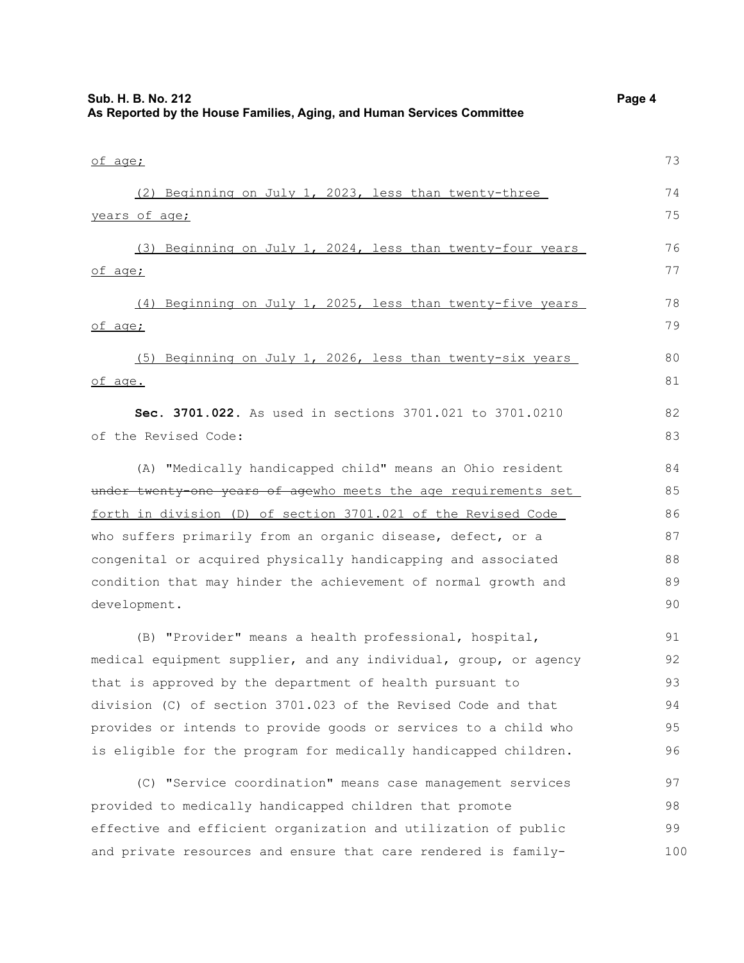| Sub. H. B. No. 212 |     |  |  |  | As Reported by the House Families, Aging, and Human Services Committee | Page 4 |
|--------------------|-----|--|--|--|------------------------------------------------------------------------|--------|
|                    |     |  |  |  |                                                                        |        |
| of age;            |     |  |  |  |                                                                        | 73     |
|                    | (2) |  |  |  | Beginning on July 1, 2023, less than twenty-three                      | 74     |
| years of age;      |     |  |  |  |                                                                        | 75     |
|                    | (3) |  |  |  | Beginning on July 1, 2024, less than twenty-four years                 | 76     |
| of age;            |     |  |  |  |                                                                        | 77     |
|                    | (4) |  |  |  | Beginning on July 1, 2025, less than twenty-five years                 | 78     |
| of age;            |     |  |  |  |                                                                        | 79     |
|                    |     |  |  |  | (5) Beginning on July 1, 2026, less than twenty-six years              | 80     |

of age.

81

82 83

**Sec. 3701.022.** As used in sections 3701.021 to 3701.0210 of the Revised Code:

(A) "Medically handicapped child" means an Ohio resident under twenty-one years of agewho meets the age requirements set forth in division (D) of section 3701.021 of the Revised Code who suffers primarily from an organic disease, defect, or a congenital or acquired physically handicapping and associated condition that may hinder the achievement of normal growth and development.

(B) "Provider" means a health professional, hospital, medical equipment supplier, and any individual, group, or agency that is approved by the department of health pursuant to division (C) of section 3701.023 of the Revised Code and that provides or intends to provide goods or services to a child who is eligible for the program for medically handicapped children. 91 92 93 94 95 96

(C) "Service coordination" means case management services provided to medically handicapped children that promote effective and efficient organization and utilization of public and private resources and ensure that care rendered is family-97 98 99 100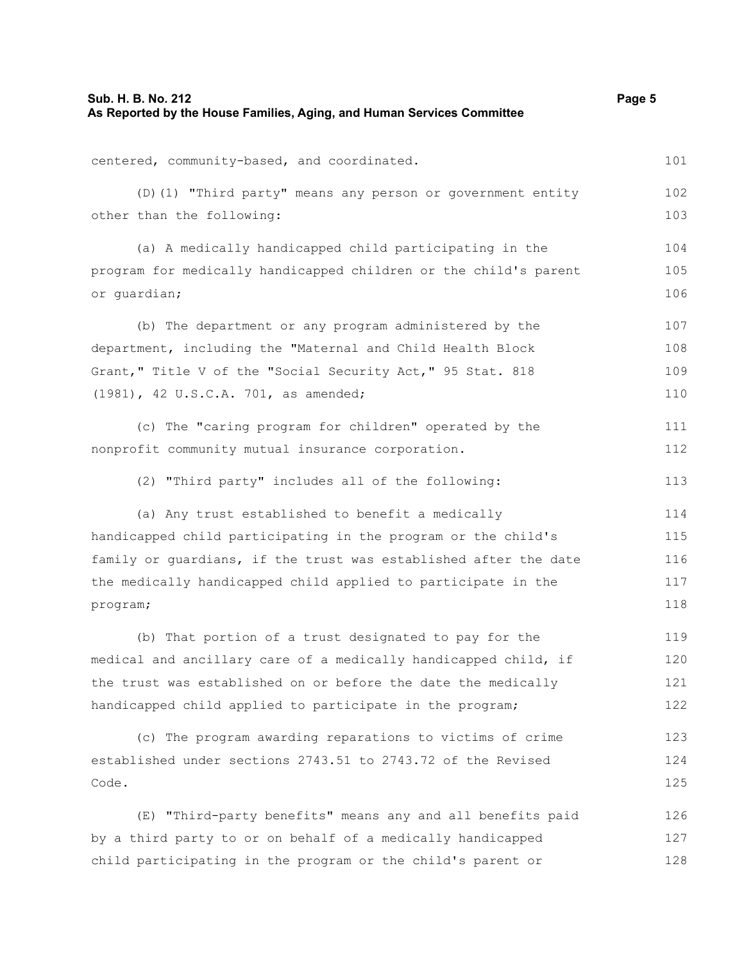| Sub. H. B. No. 212<br>As Reported by the House Families, Aging, and Human Services Committee | Page 5 |
|----------------------------------------------------------------------------------------------|--------|
| centered, community-based, and coordinated.                                                  | 101    |
| (D) (1) "Third party" means any person or government entity                                  | 102    |
| other than the following:                                                                    | 103    |
| (a) A medically handicapped child participating in the                                       | 104    |
| program for medically handicapped children or the child's parent                             | 105    |
| or guardian;                                                                                 | 106    |
| (b) The department or any program administered by the                                        | 107    |
| department, including the "Maternal and Child Health Block                                   | 108    |
| Grant," Title V of the "Social Security Act," 95 Stat. 818                                   | 109    |
| (1981), 42 U.S.C.A. 701, as amended;                                                         | 110    |
| (c) The "caring program for children" operated by the                                        | 111    |
| nonprofit community mutual insurance corporation.                                            | 112    |
| (2) "Third party" includes all of the following:                                             | 113    |
| (a) Any trust established to benefit a medically                                             | 114    |
| handicapped child participating in the program or the child's                                | 115    |
| family or guardians, if the trust was established after the date                             | 116    |
| the medically handicapped child applied to participate in the                                | 117    |
| program;                                                                                     | 118    |
| (b) That portion of a trust designated to pay for the                                        | 119    |
| medical and ancillary care of a medically handicapped child, if                              | 120    |
| the trust was established on or before the date the medically                                | 121    |
| handicapped child applied to participate in the program;                                     | 122    |
| (c) The program awarding reparations to victims of crime                                     | 123    |
| established under sections 2743.51 to 2743.72 of the Revised                                 | 124    |
| Code.                                                                                        | 125    |
| (E) "Third-party benefits" means any and all benefits paid                                   | 126    |
| by a third party to or on behalf of a medically handicapped                                  | 127    |
| child participating in the program or the child's parent or                                  | 128    |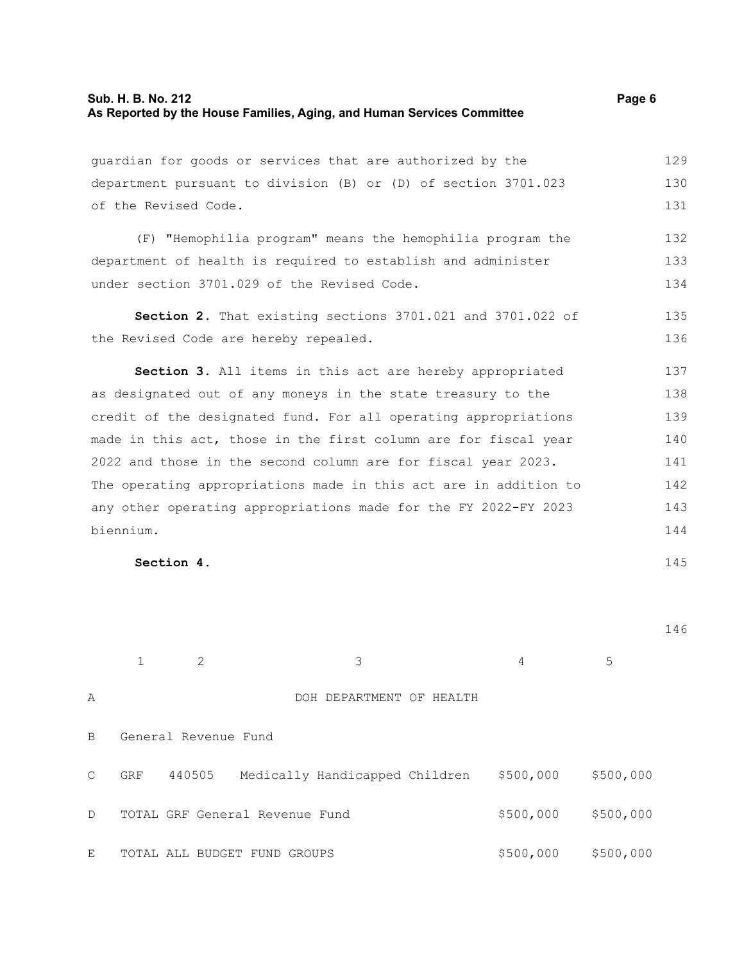guardian for goods or services that are authorized by the department pursuant to division (B) or (D) of section 3701.023 of the Revised Code. (F) "Hemophilia program" means the hemophilia program the department of health is required to establish and administer under section 3701.029 of the Revised Code. **Section 2.** That existing sections 3701.021 and 3701.022 of the Revised Code are hereby repealed. **Section 3.** All items in this act are hereby appropriated as designated out of any moneys in the state treasury to the credit of the designated fund. For all operating appropriations made in this act, those in the first column are for fiscal year 2022 and those in the second column are for fiscal year 2023. The operating appropriations made in this act are in addition to any other operating appropriations made for the FY 2022-FY 2023 biennium. 129 130 131 132 133 134 135 136 137 138 139 140 141 142 143 144

**Section 4.** 

146

145

|               |            | 2                    | 3                              | 4         | 5         |
|---------------|------------|----------------------|--------------------------------|-----------|-----------|
| Α             |            |                      | DOH DEPARTMENT OF HEALTH       |           |           |
| B             |            | General Revenue Fund |                                |           |           |
| $\mathcal{C}$ | <b>GRF</b> | 440505               | Medically Handicapped Children | \$500,000 | \$500,000 |
| $\mathsf{D}$  |            |                      | TOTAL GRF General Revenue Fund | \$500,000 | \$500,000 |
| E             |            |                      | TOTAL ALL BUDGET FUND GROUPS   | \$500,000 | \$500,000 |